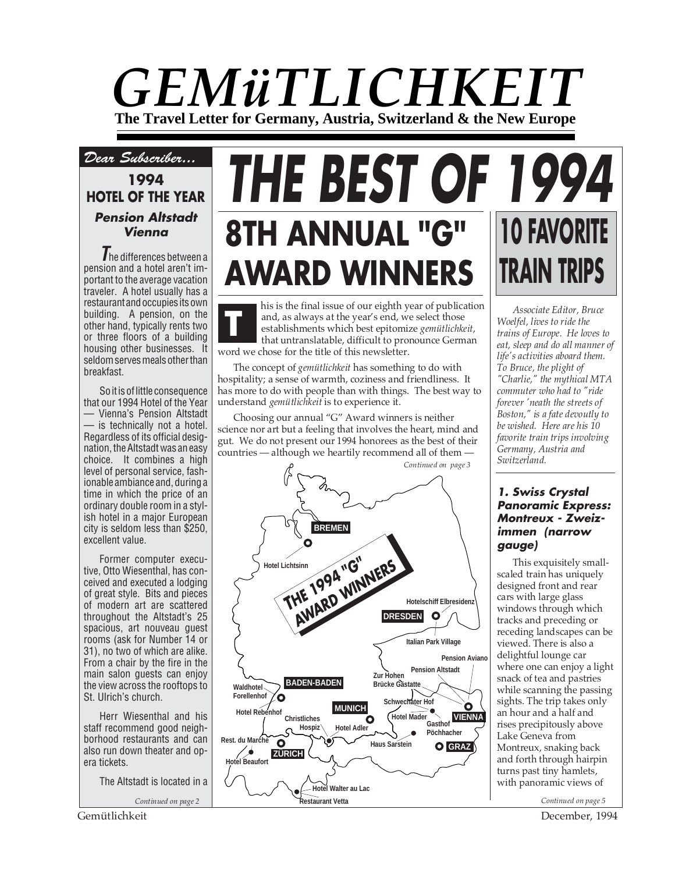# *GEMüTLICHKEIT* **The Travel Letter for Germany, Austria, Switzerland & the New Europe**

# *Dear Subscriber...*

# **1994 HOTEL OF THE YEAR Pension Altstadt Vienna**

**T**he differences between a pension and a hotel aren't important to the average vacation traveler. A hotel usually has a restaurant and occupies its own building. A pension, on the other hand, typically rents two or three floors of a building housing other businesses. It seldom serves meals other than breakfast.

So it is of little consequence that our 1994 Hotel of the Year — Vienna's Pension Altstadt — is technically not a hotel. Regardless of its official designation, the Altstadt was an easy choice. It combines a high level of personal service, fashionable ambiance and, during a time in which the price of an ordinary double room in a stylish hotel in a major European city is seldom less than \$250, excellent value.

Former computer executive, Otto Wiesenthal, has conceived and executed a lodging of great style. Bits and pieces of modern art are scattered throughout the Altstadt's 25 spacious, art nouveau guest rooms (ask for Number 14 or 31), no two of which are alike. From a chair by the fire in the main salon guests can enjoy the view across the rooftops to St. Ulrich's church.

Herr Wiesenthal and his staff recommend good neighborhood restaurants and can also run down theater and opera tickets.

The Altstadt is located in a

*Continued on page 2*

# **THE BEST OF 1994 10 FAVORITE TRAIN TRIPS 8TH ANNUAL "G" AWARD WINNERS**

his is the final issue of our eighth year of publication and, as always at the year's end, we select those establishments which best epitomize *gemütlichkeit*, that untranslatable, difficult to pronounce German word we chose for the title of this newsletter. **T**

The concept of *gemütlichkeit* has something to do with hospitality; a sense of warmth, coziness and friendliness. It has more to do with people than with things. The best way to understand *gemütlichkeit* is to experience it.

Choosing our annual "G" Award winners is neither science nor art but a feeling that involves the heart, mind and gut. We do not present our 1994 honorees as the best of their countries — although we heartily recommend all of them -



*Associate Editor, Bruce Woelfel, lives to ride the trains of Europe. He loves to eat, sleep and do all manner of life's activities aboard them. To Bruce, the plight of "Charlie," the mythical MTA commuter who had to "ride forever 'neath the streets of Boston," is a fate devoutly to be wished. Here are his 10 favorite train trips involving Germany, Austria and Switzerland.*

#### **1. Swiss Crystal Panoramic Express: Montreux - Zweizimmen (narrow gauge)**

This exquisitely smallscaled train has uniquely designed front and rear cars with large glass windows through which tracks and preceding or receding landscapes can be viewed. There is also a delightful lounge car where one can enjoy a light snack of tea and pastries while scanning the passing sights. The trip takes only an hour and a half and rises precipitously above Lake Geneva from Montreux, snaking back and forth through hairpin turns past tiny hamlets, with panoramic views of

Gemütlichkeit December, 1994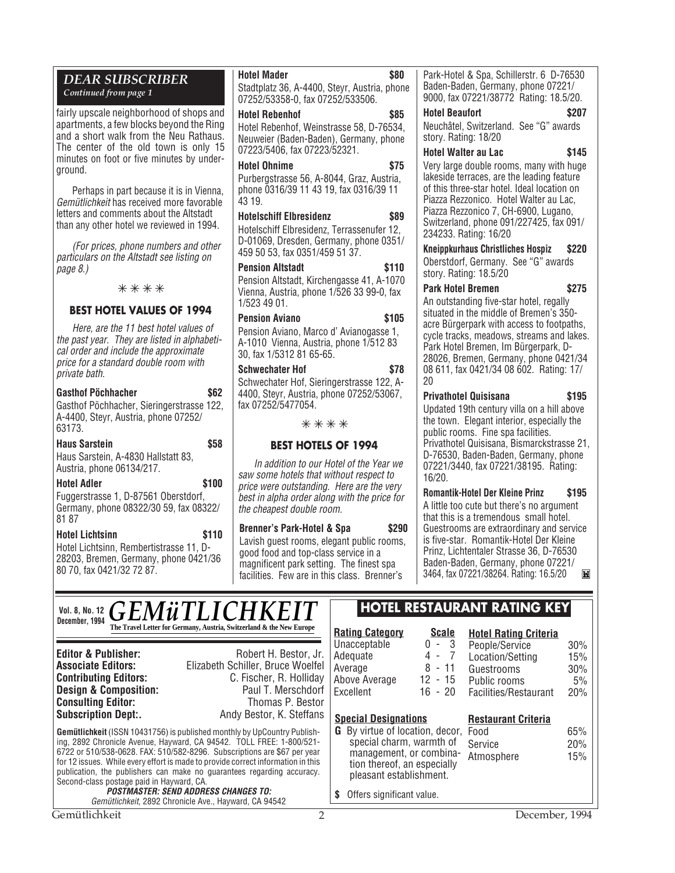# *DEAR SUBSCRIBER*

*Continued from page 1*

fairly upscale neighborhood of shops and apartments, a few blocks beyond the Ring and a short walk from the Neu Rathaus. The center of the old town is only 15 minutes on foot or five minutes by underground.

Perhaps in part because it is in Vienna, Gemütlichkeit has received more favorable letters and comments about the Altstadt than any other hotel we reviewed in 1994.

(For prices, phone numbers and other particulars on the Altstadt see listing on page 8.)

✳ ✳ ✳ ✳

#### **BEST HOTEL VALUES OF 1994**

Here, are the 11 best hotel values of the past year. They are listed in alphabetical order and include the approximate price for a standard double room with private bath.

| <b>Gasthof Pöchhacher</b>                                                                   | \$62 |
|---------------------------------------------------------------------------------------------|------|
| Gasthof Pöchhacher, Sieringerstrasse 122,<br>A-4400, Steyr, Austria, phone 07252/<br>63173. |      |
| <b>Haus Sarstein</b>                                                                        | \$58 |
| Haus Sarstein, A-4830 Hallstatt 83,<br>Austria, phone 06134/217.                            |      |

**Hotel Adler \$100** Fuggerstrasse 1, D-87561 Oberstdorf, Germany, phone 08322/30 59, fax 08322/ 81 87

**Hotel Lichtsinn \$110** Hotel Lichtsinn, Rembertistrasse 11, D-28203, Bremen, Germany, phone 0421/36 80 70, fax 0421/32 72 87.

### **Hotel Mader \$80**

Stadtplatz 36, A-4400, Steyr, Austria, phone 07252/53358-0, fax 07252/533506.

#### **Hotel Rebenhof \$85**

Hotel Rebenhof, Weinstrasse 58, D-76534, Neuweier (Baden-Baden), Germany, phone 07223/5406, fax 07223/52321.

#### **Hotel Ohnime \$75**

Purbergstrasse 56, A-8044, Graz, Austria, phone 0316/39 11 43 19, fax 0316/39 11 43 19.

#### **Hotelschiff Elbresidenz \$89**

Hotelschiff Elbresidenz, Terrassenufer 12, D-01069, Dresden, Germany, phone 0351/ 459 50 53, fax 0351/459 51 37.

#### **Pension Altstadt 5110** Pension Altstadt, Kirchengasse 41, A-1070

Vienna, Austria, phone 1/526 33 99-0, fax 1/523 49 01.

#### Pension Aviano **\$105**

Pension Aviano, Marco d' Avianogasse 1, A-1010 Vienna, Austria, phone 1/512 83 30, fax 1/5312 81 65-65.

#### **Schwechater Hof \$78**

Schwechater Hof, Sieringerstrasse 122, A-4400, Steyr, Austria, phone 07252/53067, fax 07252/5477054.

#### ✳ ✳ ✳ ✳

#### **BEST HOTELS OF 1994**

In addition to our Hotel of the Year we saw some hotels that without respect to price were outstanding. Here are the very best in alpha order along with the price for the cheapest double room.

**Brenner's Park-Hotel & Spa \$290** Lavish guest rooms, elegant public rooms, good food and top-class service in a magnificent park setting. The finest spa facilities. Few are in this class. Brenner's

Park-Hotel & Spa, Schillerstr. 6 D-76530 Baden-Baden, Germany, phone 07221/ 9000, fax 07221/38772 Rating: 18.5/20.

**Hotel Beaufort \$207** Neuchâtel, Switzerland. See "G" awards story. Rating: 18/20

#### **Hotel Walter au Lac \$145**

Very large double rooms, many with huge lakeside terraces, are the leading feature of this three-star hotel. Ideal location on Piazza Rezzonico. Hotel Walter au Lac, Piazza Rezzonico 7, CH-6900, Lugano, Switzerland, phone 091/227425, fax 091/ 234233. Rating: 16/20

**Kneippkurhaus Christliches Hospiz \$220**

Oberstdorf, Germany. See "G" awards story. Rating: 18.5/20

#### **Park Hotel Bremen \$275**

An outstanding five-star hotel, regally situated in the middle of Bremen's 350 acre Bürgerpark with access to footpaths, cycle tracks, meadows, streams and lakes. Park Hotel Bremen, Im Bürgerpark, D-28026, Bremen, Germany, phone 0421/34 08 611, fax 0421/34 08 602. Rating: 17/ 20

### **Privathotel Quisisana \$195**

Updated 19th century villa on a hill above the town. Elegant interior, especially the public rooms. Fine spa facilities. Privathotel Quisisana, Bismarckstrasse 21, D-76530, Baden-Baden, Germany, phone 07221/3440, fax 07221/38195. Rating: 16/20.

**Romantik-Hotel Der Kleine Prinz \$195** A little too cute but there's no argument that this is a tremendous small hotel. Guestrooms are extraordinary and service is five-star. Romantik-Hotel Der Kleine Prinz, Lichtentaler Strasse 36, D-76530 Baden-Baden, Germany, phone 07221/ 3464, fax 07221/38264. Rating: 16.5/20 **Twill** 

# Vol. 8, No. 12 *GEMüTLICHKE* **The Travel Letter for Germany, Austria, Switzerland & the New Europe <b>Rating Category Scale C** - 3 **December, 1994**

**Consulting Editor:** 

**Editor & Publisher:** Robert H. Bestor, Jr.<br>**Associate Editors:** Elizabeth Schiller. Bruce Woelfel **Associate Editors:** Elizabeth Schiller, Bruce Woelfel **Contributing Editors:** C. Fischer, R. Holliday **Design & Composition:** Paul T. Merschdorf **Consulting Editor:** Paul T. Merschdorf **Consulting Editor:** Paul Thomas P. Bestor **Subscription Dept:.** Andy Bestor, K. Steffans

**Gemütlichkeit** (ISSN 10431756) is published monthly by UpCountry Publishing, 2892 Chronicle Avenue, Hayward, CA 94542. TOLL FREE: 1-800/521- 6722 or 510/538-0628. FAX: 510/582-8296. Subscriptions are \$67 per year for 12 issues. While every effort is made to provide correct information in this publication, the publishers can make no guarantees regarding accuracy. Second-class postage paid in Hayward, CA.

#### **POSTMASTER: SEND ADDRESS CHANGES TO:** Gemütlichkeit, 2892 Chronicle Ave., Hayward, CA 94542

**Excellent** 

# **Vol. 8, No. 12 HOTEL RESTAURANT RATING KEY**

|  | <b>Hotel Rating Criteria</b> |
|--|------------------------------|
|  |                              |

| <b>Hotel Rating Criteria</b> |     |
|------------------------------|-----|
| People/Service               | 30% |

| ι συρισσυνισσ    | <b>UU</b> 70 |
|------------------|--------------|
| Location/Setting | 15%          |
| Guestrooms       | 30%          |
|                  |              |

#### Public rooms 5% Facilities/Restaurant 20%

#### **Special Designations Restaurant Criteria**

**G** By virtue of location, decor, Food special charm, warmth of management, or combination thereof, an especially pleasant establishment. Service 20% Atmosphere 15%

**\$** Offers significant value.

Unacceptable 0 - 3<br>Adequate 4 - 7 Adequate 4 - 7<br>Average 8 - 11 Average 8 - 11<br>Above Average 12 - 15 Above Average 12 - 15<br>Fxcellent 16 - 20

65%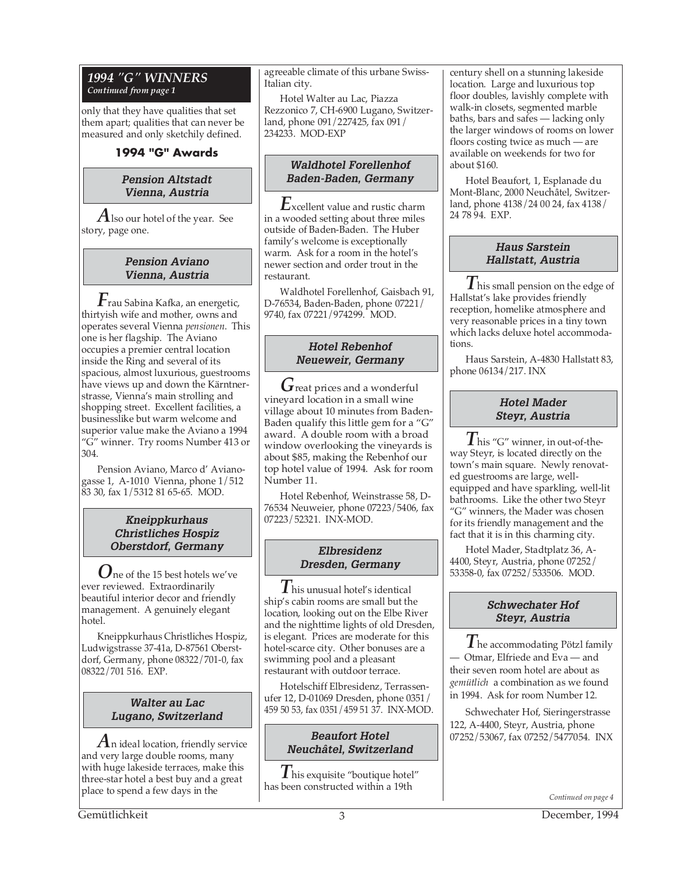#### *1994 "G" WINNERS Continued from page 1*

only that they have qualities that set them apart; qualities that can never be measured and only sketchily defined.

## **1994 "G" Awards**

#### **Pension Altstadt Vienna, Austria**

*A*lso our hotel of the year. See story, page one.

#### **Pension Aviano Vienna, Austria**

*F*rau Sabina Kafka, an energetic, thirtyish wife and mother, owns and operates several Vienna *pensionen*. This one is her flagship. The Aviano occupies a premier central location inside the Ring and several of its spacious, almost luxurious, guestrooms have views up and down the Kärntnerstrasse, Vienna's main strolling and shopping street. Excellent facilities, a businesslike but warm welcome and superior value make the Aviano a 1994 "G" winner. Try rooms Number 413 or 304.

Pension Aviano, Marco d' Avianogasse 1, A-1010 Vienna, phone 1/512 83 30, fax 1/5312 81 65-65. MOD.

#### **Kneippkurhaus Christliches Hospiz Oberstdorf, Germany**

*O*ne of the 15 best hotels we've ever reviewed. Extraordinarily beautiful interior decor and friendly management. A genuinely elegant hotel.

Kneippkurhaus Christliches Hospiz, Ludwigstrasse 37-41a, D-87561 Oberstdorf, Germany, phone 08322/701-0, fax 08322/701 516. EXP.

### **Walter au Lac Lugano, Switzerland**

*A*n ideal location, friendly service and very large double rooms, many with huge lakeside terraces, make this three-star hotel a best buy and a great place to spend a few days in the

agreeable climate of this urbane Swiss-Italian city.

Hotel Walter au Lac, Piazza Rezzonico 7, CH-6900 Lugano, Switzerland, phone 091/227425, fax 091/ 234233. MOD-EXP

#### **Waldhotel Forellenhof Baden-Baden, Germany**

*E*xcellent value and rustic charm in a wooded setting about three miles outside of Baden-Baden. The Huber family's welcome is exceptionally warm. Ask for a room in the hotel's newer section and order trout in the restaurant.

Waldhotel Forellenhof, Gaisbach 91, D-76534, Baden-Baden, phone 07221/ 9740, fax 07221/974299. MOD.

### **Hotel Rebenhof Neueweir, Germany**

*G*reat prices and a wonderful vineyard location in a small wine village about 10 minutes from Baden-Baden qualify this little gem for a "G" award. A double room with a broad window overlooking the vineyards is about \$85, making the Rebenhof our top hotel value of 1994. Ask for room Number 11.

Hotel Rebenhof, Weinstrasse 58, D-76534 Neuweier, phone 07223/5406, fax 07223/52321. INX-MOD.

#### **Elbresidenz Dresden, Germany**

*T*his unusual hotel's identical ship's cabin rooms are small but the location, looking out on the Elbe River and the nighttime lights of old Dresden, is elegant. Prices are moderate for this hotel-scarce city. Other bonuses are a swimming pool and a pleasant restaurant with outdoor terrace.

Hotelschiff Elbresidenz, Terrassenufer 12, D-01069 Dresden, phone 0351/ 459 50 53, fax 0351/459 51 37. INX-MOD.

#### **Beaufort Hotel Neuchâtel, Switzerland**

*T*his exquisite "boutique hotel" has been constructed within a 19th

century shell on a stunning lakeside location. Large and luxurious top floor doubles, lavishly complete with walk-in closets, segmented marble baths, bars and safes — lacking only the larger windows of rooms on lower floors costing twice as much — are available on weekends for two for about \$160.

Hotel Beaufort, 1, Esplanade du Mont-Blanc, 2000 Neuchâtel, Switzerland, phone 4138/24 00 24, fax 4138/ 24 78 94. EXP.

## **Haus Sarstein Hallstatt, Austria**

*T* his small pension on the edge of Hallstat's lake provides friendly reception, homelike atmosphere and very reasonable prices in a tiny town which lacks deluxe hotel accommodations.

Haus Sarstein, A-4830 Hallstatt 83, phone 06134/217. INX

#### **Hotel Mader Steyr, Austria**

*T*his "G" winner, in out-of-theway Steyr, is located directly on the town's main square. Newly renovated guestrooms are large, wellequipped and have sparkling, well-lit bathrooms. Like the other two Steyr "G" winners, the Mader was chosen for its friendly management and the fact that it is in this charming city.

Hotel Mader, Stadtplatz 36, A-4400, Steyr, Austria, phone 07252/ 53358-0, fax 07252/533506. MOD.

#### **Schwechater Hof Steyr, Austria**

*T*he accommodating Pötzl family — Otmar, Elfriede and Eva — and their seven room hotel are about as *gemütlich* a combination as we found in 1994. Ask for room Number 12.

Schwechater Hof, Sieringerstrasse 122, A-4400, Steyr, Austria, phone 07252/53067, fax 07252/5477054. INX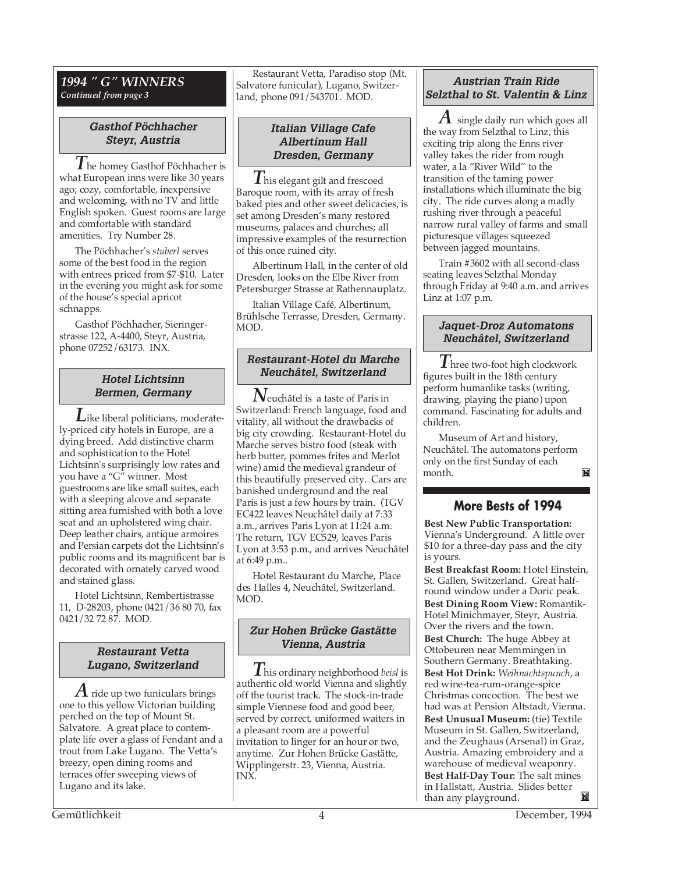#### *1994 " G" WINNERS Continued from page 3*

#### **Gasthof Pöchhacher Steyr, Austria**

*T*he homey Gasthof Pöchhacher is what European inns were like 30 years ago; cozy, comfortable, inexpensive and welcoming, with no TV and little English spoken. Guest rooms are large and comfortable with standard amenities. Try Number 28.

The Pöchhacher's *stuberl* serves some of the best food in the region with entrees priced from \$7-\$10. Later in the evening you might ask for some of the house's special apricot schnapps.

Gasthof Pöchhacher, Sieringerstrasse 122, A-4400, Steyr, Austria, phone 07252/63173. INX.

## **Hotel Lichtsinn Bermen, Germany**

*L*ike liberal politicians, moderately-priced city hotels in Europe, are a dying breed. Add distinctive charm and sophistication to the Hotel Lichtsinn's surprisingly low rates and you have a "G" winner. Most guestrooms are like small suites, each with a sleeping alcove and separate sitting area furnished with both a love seat and an upholstered wing chair. Deep leather chairs, antique armoires and Persian carpets dot the Lichtsinn's public rooms and its magnificent bar is decorated with ornately carved wood and stained glass.

Hotel Lichtsinn, Rembertistrasse 11, D-28203, phone 0421/36 80 70, fax 0421/32 72 87. MOD.

#### **Restaurant Vetta Lugano, Switzerland**

*A* ride up two funiculars brings one to this yellow Victorian building perched on the top of Mount St. Salvatore. A great place to contemplate life over a glass of Fendant and a trout from Lake Lugano. The Vetta's breezy, open dining rooms and terraces offer sweeping views of Lugano and its lake.

Restaurant Vetta, Paradiso stop (Mt. Salvatore funicular), Lugano, Switzerland, phone 091/543701. MOD.

#### **Italian Village Cafe Albertinum Hall Dresden, Germany**

*T* his elegant gilt and frescoed Baroque room, with its array of fresh baked pies and other sweet delicacies, is set among Dresden's many restored museums, palaces and churches; all impressive examples of the resurrection of this once ruined city.

Albertinum Hall, in the center of old Dresden, looks on the Elbe River from Petersburger Strasse at Rathennauplatz.

Italian Village Café, Albertinum, Brühlsche Terrasse, Dresden, Germany. MOD.

### **Restaurant-Hotel du Marche Neuchâtel, Switzerland**

*N*euchâtel is a taste of Paris in Switzerland: French language, food and vitality, all without the drawbacks of big city crowding. Restaurant-Hotel du Marche serves bistro food (steak with herb butter, pommes frites and Merlot wine) amid the medieval grandeur of this beautifully preserved city. Cars are banished underground and the real Paris is just a few hours by train. (TGV EC422 leaves Neuchâtel daily at 7:33 a.m., arrives Paris Lyon at 11:24 a.m. The return, TGV EC529, leaves Paris Lyon at 3:53 p.m., and arrives Neuchâtel at 6:49 p.m..

Hotel Restaurant du Marche, Place des Halles 4**,** Neuchâtel, Switzerland. MOD.

## **Zur Hohen Brücke Gastätte Vienna, Austria**

*T*his ordinary neighborhood *beisl* is authentic old world Vienna and slightly off the tourist track. The stock-in-trade simple Viennese food and good beer, served by correct, uniformed waiters in a pleasant room are a powerful invitation to linger for an hour or two, anytime. Zur Hohen Brücke Gastätte, Wipplingerstr. 23, Vienna, Austria. INX.

# **Austrian Train Ride Selzthal to St. Valentin & Linz**

*A* single daily run which goes all the way from Selzthal to Linz, this exciting trip along the Enns river valley takes the rider from rough water, a la "River Wild" to the transition of the taming power installations which illuminate the big city. The ride curves along a madly rushing river through a peaceful narrow rural valley of farms and small picturesque villages squeezed between jagged mountains.

Train #3602 with all second-class seating leaves Selzthal Monday through Friday at 9:40 a.m. and arrives Linz at 1:07 p.m.

# **Jaquet-Droz Automatons Neuchâtel, Switzerland**

*T*hree two-foot high clockwork figures built in the 18th century perform humanlike tasks (writing, drawing, playing the piano) upon command. Fascinating for adults and children.

Museum of Art and history, Neuchâtel. The automatons perform only on the first Sunday of each month. M

# **More Bests of 1994**

**Best New Public Transportation:** Vienna's Underground. A little over \$10 for a three-day pass and the city is yours.

**Best Breakfast Room:** Hotel Einstein, St. Gallen, Switzerland. Great halfround window under a Doric peak. **Best Dining Room View:** Romantik-Hotel Minichmayer, Steyr, Austria. Over the rivers and the town. **Best Church:** The huge Abbey at Ottobeuren near Memmingen in Southern Germany. Breathtaking. **Best Hot Drink:** *Weihnachtspunch*, a red wine-tea-rum-orange-spice Christmas concoction. The best we had was at Pension Altstadt, Vienna. **Best Unusual Museum:** (tie) Textile Museum in St. Gallen, Switzerland, and the Zeughaus (Arsenal) in Graz, Austria. Amazing embroidery and a warehouse of medieval weaponry. **Best Half-Day Tour:** The salt mines in Hallstatt, Austria. Slides better than any playground.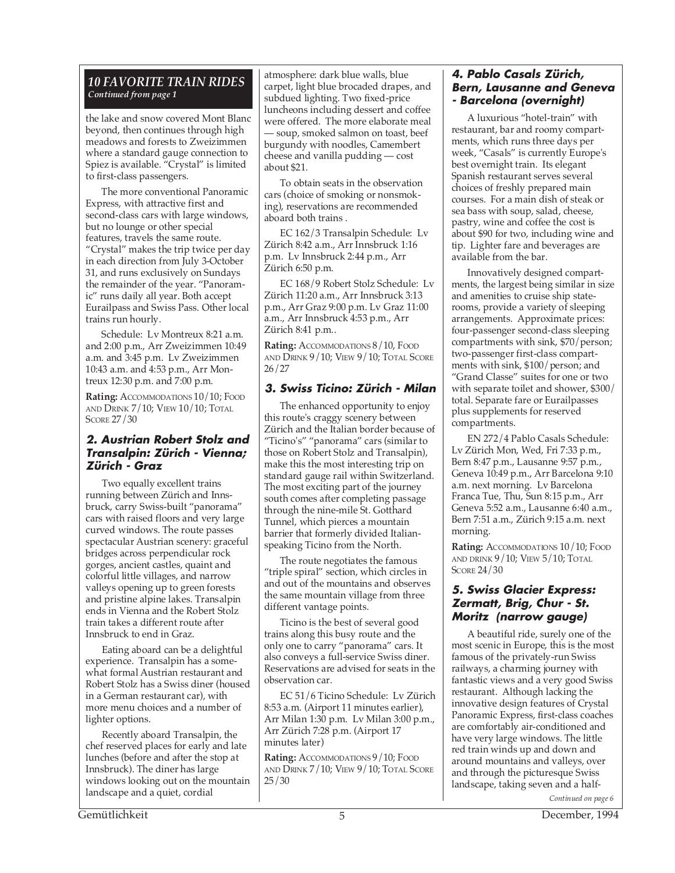#### *10 FAVORITE TRAIN RIDES Continued from page 1*

the lake and snow covered Mont Blanc beyond, then continues through high meadows and forests to Zweizimmen where a standard gauge connection to Spiez is available. "Crystal" is limited to first-class passengers.

The more conventional Panoramic Express, with attractive first and second-class cars with large windows, but no lounge or other special features, travels the same route. "Crystal" makes the trip twice per day in each direction from July 3-October 31, and runs exclusively on Sundays the remainder of the year. "Panoramic" runs daily all year. Both accept Eurailpass and Swiss Pass. Other local trains run hourly.

Schedule: Lv Montreux 8:21 a.m. and 2:00 p.m., Arr Zweizimmen 10:49 a.m. and 3:45 p.m. Lv Zweizimmen 10:43 a.m. and 4:53 p.m., Arr Montreux 12:30 p.m. and 7:00 p.m.

Rating: ACCOMMODATIONS 10/10; FOOD AND DRINK 7/10; VIEW 10/10; TOTAL SCORE 27/30

#### **2. Austrian Robert Stolz and Transalpin: Zürich - Vienna; Zürich - Graz**

Two equally excellent trains running between Zürich and Innsbruck, carry Swiss-built "panorama" cars with raised floors and very large curved windows. The route passes spectacular Austrian scenery: graceful bridges across perpendicular rock gorges, ancient castles, quaint and colorful little villages, and narrow valleys opening up to green forests and pristine alpine lakes. Transalpin ends in Vienna and the Robert Stolz train takes a different route after Innsbruck to end in Graz.

Eating aboard can be a delightful experience. Transalpin has a somewhat formal Austrian restaurant and Robert Stolz has a Swiss diner (housed in a German restaurant car), with more menu choices and a number of lighter options.

Recently aboard Transalpin, the chef reserved places for early and late lunches (before and after the stop at Innsbruck). The diner has large windows looking out on the mountain landscape and a quiet, cordial

atmosphere: dark blue walls, blue carpet, light blue brocaded drapes, and subdued lighting. Two fixed-price luncheons including dessert and coffee were offered. The more elaborate meal — soup, smoked salmon on toast, beef burgundy with noodles, Camembert cheese and vanilla pudding — cost about \$21.

To obtain seats in the observation cars (choice of smoking or nonsmoking), reservations are recommended aboard both trains .

EC 162/3 Transalpin Schedule: Lv Zürich 8:42 a.m., Arr Innsbruck 1:16 p.m. Lv Innsbruck 2:44 p.m., Arr Zürich 6:50 p.m.

EC 168/9 Robert Stolz Schedule: Lv Zürich 11:20 a.m., Arr Innsbruck 3:13 p.m., Arr Graz 9:00 p.m. Lv Graz 11:00 a.m., Arr Innsbruck 4:53 p.m., Arr Zürich 8:41 p.m..

Rating: ACCOMMODATIONS 8/10, FOOD AND DRINK 9/10; VIEW 9/10; TOTAL SCORE 26/27

# **3. Swiss Ticino: Zürich - Milan**

The enhanced opportunity to enjoy this route's craggy scenery between Zürich and the Italian border because of "Ticino's" "panorama" cars (similar to those on Robert Stolz and Transalpin), make this the most interesting trip on standard gauge rail within Switzerland. The most exciting part of the journey south comes after completing passage through the nine-mile St. Gotthard Tunnel, which pierces a mountain barrier that formerly divided Italianspeaking Ticino from the North.

The route negotiates the famous "triple spiral" section, which circles in and out of the mountains and observes the same mountain village from three different vantage points.

Ticino is the best of several good trains along this busy route and the only one to carry "panorama" cars. It also conveys a full-service Swiss diner. Reservations are advised for seats in the observation car.

EC 51/6 Ticino Schedule: Lv Zürich 8:53 a.m. (Airport 11 minutes earlier), Arr Milan 1:30 p.m. Lv Milan 3:00 p.m., Arr Zürich 7:28 p.m. (Airport 17 minutes later)

Rating: ACCOMMODATIONS 9/10; FOOD AND DRINK 7/10; VIEW 9/10; TOTAL SCORE 25/30

### **4. Pablo Casals Zürich, Bern, Lausanne and Geneva - Barcelona (overnight)**

A luxurious "hotel-train" with restaurant, bar and roomy compartments, which runs three days per week, "Casals" is currently Europe's best overnight train. Its elegant Spanish restaurant serves several choices of freshly prepared main courses. For a main dish of steak or sea bass with soup, salad, cheese, pastry, wine and coffee the cost is about \$90 for two, including wine and tip. Lighter fare and beverages are available from the bar.

Innovatively designed compartments, the largest being similar in size and amenities to cruise ship staterooms, provide a variety of sleeping arrangements. Approximate prices: four-passenger second-class sleeping compartments with sink, \$70/person; two-passenger first-class compartments with sink, \$100/person; and "Grand Classe" suites for one or two with separate toilet and shower, \$300/ total. Separate fare or Eurailpasses plus supplements for reserved compartments.

EN 272/4 Pablo Casals Schedule: Lv Zürich Mon, Wed, Fri 7:33 p.m., Bern 8:47 p.m., Lausanne 9:57 p.m., Geneva 10:49 p.m., Arr Barcelona 9:10 a.m. next morning. Lv Barcelona Franca Tue, Thu, Sun 8:15 p.m., Arr Geneva 5:52 a.m., Lausanne 6:40 a.m., Bern 7:51 a.m., Zürich 9:15 a.m. next morning.

**Rating:** ACCOMMODATIONS 10/10; FOOD AND DRINK  $9/10$ ; View  $5/10$ ; Total SCORE 24/30

#### **5. Swiss Glacier Express: Zermatt, Brig, Chur - St. Moritz (narrow gauge)**

*Continued on page 6* A beautiful ride, surely one of the most scenic in Europe, this is the most famous of the privately-run Swiss railways, a charming journey with fantastic views and a very good Swiss restaurant. Although lacking the innovative design features of Crystal Panoramic Express, first-class coaches are comfortably air-conditioned and have very large windows. The little red train winds up and down and around mountains and valleys, over and through the picturesque Swiss landscape, taking seven and a half-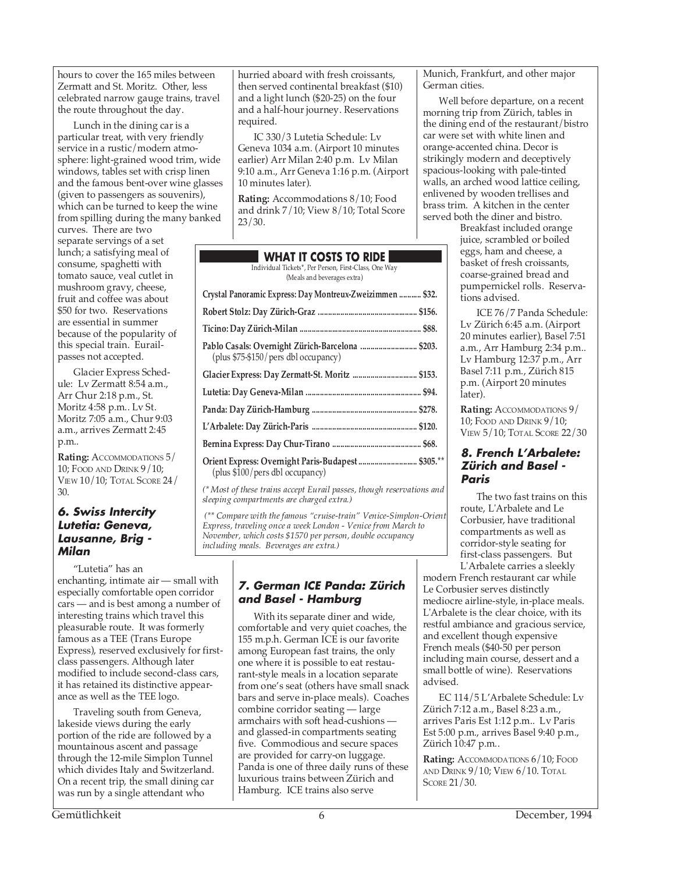hours to cover the 165 miles between Zermatt and St. Moritz. Other, less celebrated narrow gauge trains, travel the route throughout the day.

Lunch in the dining car is a particular treat, with very friendly service in a rustic/modern atmosphere: light-grained wood trim, wide windows, tables set with crisp linen and the famous bent-over wine glasses (given to passengers as souvenirs), which can be turned to keep the wine from spilling during the many banked

curves. There are two separate servings of a set lunch; a satisfying meal of consume, spaghetti with tomato sauce, veal cutlet in mushroom gravy, cheese, fruit and coffee was about \$50 for two. Reservations are essential in summer because of the popularity of this special train. Eurailpasses not accepted.

Glacier Express Schedule: Lv Zermatt 8:54 a.m., Arr Chur 2:18 p.m., St. Moritz 4:58 p.m.. Lv St. Moritz 7:05 a.m., Chur 9:03 a.m., arrives Zermatt 2:45 p.m..

**Rating:** ACCOMMODATIONS 5/ 10; FOOD AND DRINK 9/10; VIEW 10/10; TOTAL SCORE 24/  $30<sup>°</sup>$ 

#### **6. Swiss Intercity Lutetia: Geneva, Lausanne, Brig - Milan**

"Lutetia" has an enchanting, intimate air — small with especially comfortable open corridor cars — and is best among a number of interesting trains which travel this pleasurable route. It was formerly famous as a TEE (Trans Europe Express), reserved exclusively for firstclass passengers. Although later modified to include second-class cars, it has retained its distinctive appearance as well as the TEE logo.

Traveling south from Geneva, lakeside views during the early portion of the ride are followed by a mountainous ascent and passage through the 12-mile Simplon Tunnel which divides Italy and Switzerland. On a recent trip, the small dining car was run by a single attendant who

hurried aboard with fresh croissants, then served continental breakfast (\$10) and a light lunch (\$20-25) on the four and a half-hour journey. Reservations required.

IC 330/3 Lutetia Schedule: Lv Geneva 1034 a.m. (Airport 10 minutes earlier) Arr Milan 2:40 p.m. Lv Milan 9:10 a.m., Arr Geneva 1:16 p.m. (Airport 10 minutes later).

**Rating:** Accommodations 8/10; Food and drink 7/10; View 8/10; Total Score 23/30.

|                                                       |  |  | <b>WHAT IT COSTS TO RIDE</b> |  |
|-------------------------------------------------------|--|--|------------------------------|--|
| Individual Tickets*, Per Person, First-Class, One Way |  |  |                              |  |

(Meals and beverages extra)

| Crystal Panoramic Express: Day Montreux-Zweizimmen  \$32.                                |
|------------------------------------------------------------------------------------------|
|                                                                                          |
|                                                                                          |
| Pablo Casals: Overnight Zürich-Barcelona  \$203.<br>(plus \$75-\$150/pers dbl occupancy) |
| Glacier Express: Day Zermatt-St. Moritz  \$153.                                          |
|                                                                                          |
|                                                                                          |
|                                                                                          |
|                                                                                          |
| Orient Express: Overnight Paris-Budapest  \$305.**<br>(plus \$100/pers dbl occupancy)    |

*(\* Most of these trains accept Eurail passes, though reservations and sleeping compartments are charged extra.)*

 *(\*\* Compare with the famous "cruise-train" Venice-Simplon-Orient Express, traveling once a week London - Venice from March to November, which costs \$1570 per person, double occupancy including meals. Beverages are extra.)*

# **7. German ICE Panda: Zürich and Basel - Hamburg**

With its separate diner and wide, comfortable and very quiet coaches, the 155 m.p.h. German ICE is our favorite among European fast trains, the only one where it is possible to eat restaurant-style meals in a location separate from one's seat (others have small snack bars and serve in-place meals). Coaches combine corridor seating — large armchairs with soft head-cushions and glassed-in compartments seating five. Commodious and secure spaces are provided for carry-on luggage. Panda is one of three daily runs of these luxurious trains between Zürich and Hamburg. ICE trains also serve

Munich, Frankfurt, and other major German cities.

Well before departure, on a recent morning trip from Zürich, tables in the dining end of the restaurant/bistro car were set with white linen and orange-accented china. Decor is strikingly modern and deceptively spacious-looking with pale-tinted walls, an arched wood lattice ceiling, enlivened by wooden trellises and brass trim. A kitchen in the center served both the diner and bistro.

Breakfast included orange juice, scrambled or boiled eggs, ham and cheese, a basket of fresh croissants, coarse-grained bread and pumpernickel rolls. Reservations advised.

ICE 76/7 Panda Schedule: Lv Zürich 6:45 a.m. (Airport 20 minutes earlier), Basel 7:51 a.m., Arr Hamburg 2:34 p.m.. Lv Hamburg 12:37 p.m., Arr Basel 7:11 p.m., Zürich 815 p.m. (Airport 20 minutes later).

**Rating:** ACCOMMODATIONS 9/ 10; FOOD AND DRINK 9/10; VIEW 5/10; TOTAL SCORE 22/30

#### **8. French L'Arbalete: Zürich and Basel - Paris**

The two fast trains on this route, L'Arbalete and Le Corbusier, have traditional compartments as well as corridor-style seating for first-class passengers. But L'Arbalete carries a sleekly

modern French restaurant car while Le Corbusier serves distinctly mediocre airline-style, in-place meals. L'Arbalete is the clear choice, with its restful ambiance and gracious service, and excellent though expensive French meals (\$40-50 per person including main course, dessert and a small bottle of wine). Reservations advised.

EC 114/5 L'Arbalete Schedule: Lv Zürich 7:12 a.m., Basel 8:23 a.m., arrives Paris Est 1:12 p.m.. Lv Paris Est 5:00 p.m., arrives Basel 9:40 p.m., Zürich 10:47 p.m..

**Rating:** ACCOMMODATIONS 6/10; FOOD AND DRINK 9/10; VIEW 6/10. TOTAL SCORE 21/30.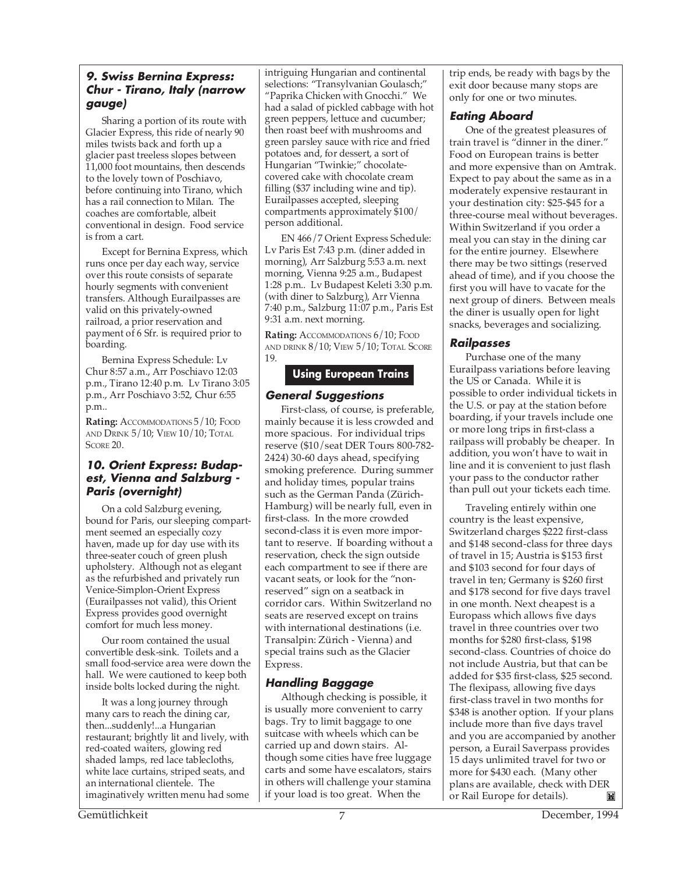### **9. Swiss Bernina Express: Chur - Tirano, Italy (narrow gauge)**

Sharing a portion of its route with Glacier Express, this ride of nearly 90 miles twists back and forth up a glacier past treeless slopes between 11,000 foot mountains, then descends to the lovely town of Poschiavo, before continuing into Tirano, which has a rail connection to Milan. The coaches are comfortable, albeit conventional in design. Food service is from a cart.

Except for Bernina Express, which runs once per day each way, service over this route consists of separate hourly segments with convenient transfers. Although Eurailpasses are valid on this privately-owned railroad, a prior reservation and payment of 6 Sfr. is required prior to boarding.

Bernina Express Schedule: Lv Chur 8:57 a.m., Arr Poschiavo 12:03 p.m., Tirano 12:40 p.m. Lv Tirano 3:05 p.m., Arr Poschiavo 3:52, Chur 6:55 p.m..

**Rating:** ACCOMMODATIONS 5/10; FOOD AND DRINK 5/10; VIEW 10/10; TOTAL SCORE 20.

## **10. Orient Express: Budapest, Vienna and Salzburg - Paris (overnight)**

On a cold Salzburg evening, bound for Paris, our sleeping compartment seemed an especially cozy haven, made up for day use with its three-seater couch of green plush upholstery. Although not as elegant as the refurbished and privately run Venice-Simplon-Orient Express (Eurailpasses not valid), this Orient Express provides good overnight comfort for much less money.

Our room contained the usual convertible desk-sink. Toilets and a small food-service area were down the hall. We were cautioned to keep both inside bolts locked during the night.

It was a long journey through many cars to reach the dining car, then...suddenly!...a Hungarian restaurant; brightly lit and lively, with red-coated waiters, glowing red shaded lamps, red lace tablecloths, white lace curtains, striped seats, and an international clientele. The imaginatively written menu had some

intriguing Hungarian and continental selections: "Transylvanian Goulasch;" "Paprika Chicken with Gnocchi." We had a salad of pickled cabbage with hot green peppers, lettuce and cucumber; then roast beef with mushrooms and green parsley sauce with rice and fried potatoes and, for dessert, a sort of Hungarian "Twinkie;" chocolatecovered cake with chocolate cream filling (\$37 including wine and tip). Eurailpasses accepted, sleeping compartments approximately \$100/ person additional.

EN 466/7 Orient Express Schedule: Lv Paris Est 7:43 p.m. (diner added in morning), Arr Salzburg 5:53 a.m. next morning, Vienna 9:25 a.m., Budapest 1:28 p.m.. Lv Budapest Keleti 3:30 p.m. (with diner to Salzburg), Arr Vienna 7:40 p.m., Salzburg 11:07 p.m., Paris Est 9:31 a.m. next morning.

**Rating:** ACCOMMODATIONS 6/10; FOOD AND DRINK 8/10; VIEW 5/10; TOTAL SCORE 19.

# **Using European Trains**

## **General Suggestions**

First-class, of course, is preferable, mainly because it is less crowded and more spacious. For individual trips reserve (\$10/seat DER Tours 800-782- 2424) 30-60 days ahead, specifying smoking preference. During summer and holiday times, popular trains such as the German Panda (Zürich-Hamburg) will be nearly full, even in first-class. In the more crowded second-class it is even more important to reserve. If boarding without a reservation, check the sign outside each compartment to see if there are vacant seats, or look for the "nonreserved" sign on a seatback in corridor cars. Within Switzerland no seats are reserved except on trains with international destinations (i.e. Transalpin: Zürich - Vienna) and special trains such as the Glacier Express.

# **Handling Baggage**

Although checking is possible, it is usually more convenient to carry bags. Try to limit baggage to one suitcase with wheels which can be carried up and down stairs. Although some cities have free luggage carts and some have escalators, stairs in others will challenge your stamina if your load is too great. When the

trip ends, be ready with bags by the exit door because many stops are only for one or two minutes.

# **Eating Aboard**

One of the greatest pleasures of train travel is "dinner in the diner." Food on European trains is better and more expensive than on Amtrak. Expect to pay about the same as in a moderately expensive restaurant in your destination city: \$25-\$45 for a three-course meal without beverages. Within Switzerland if you order a meal you can stay in the dining car for the entire journey. Elsewhere there may be two sittings (reserved ahead of time), and if you choose the first you will have to vacate for the next group of diners. Between meals the diner is usually open for light snacks, beverages and socializing.

### **Railpasses**

Purchase one of the many Eurailpass variations before leaving the US or Canada. While it is possible to order individual tickets in the U.S. or pay at the station before boarding, if your travels include one or more long trips in first-class a railpass will probably be cheaper. In addition, you won't have to wait in line and it is convenient to just flash your pass to the conductor rather than pull out your tickets each time.

Traveling entirely within one country is the least expensive, Switzerland charges \$222 first-class and \$148 second-class for three days of travel in 15; Austria is \$153 first and \$103 second for four days of travel in ten; Germany is \$260 first and \$178 second for five days travel in one month. Next cheapest is a Europass which allows five days travel in three countries over two months for \$280 first-class, \$198 second-class. Countries of choice do not include Austria, but that can be added for \$35 first-class, \$25 second. The flexipass, allowing five days first-class travel in two months for \$348 is another option. If your plans include more than five days travel and you are accompanied by another person, a Eurail Saverpass provides 15 days unlimited travel for two or more for \$430 each. (Many other plans are available, check with DER or Rail Europe for details). М